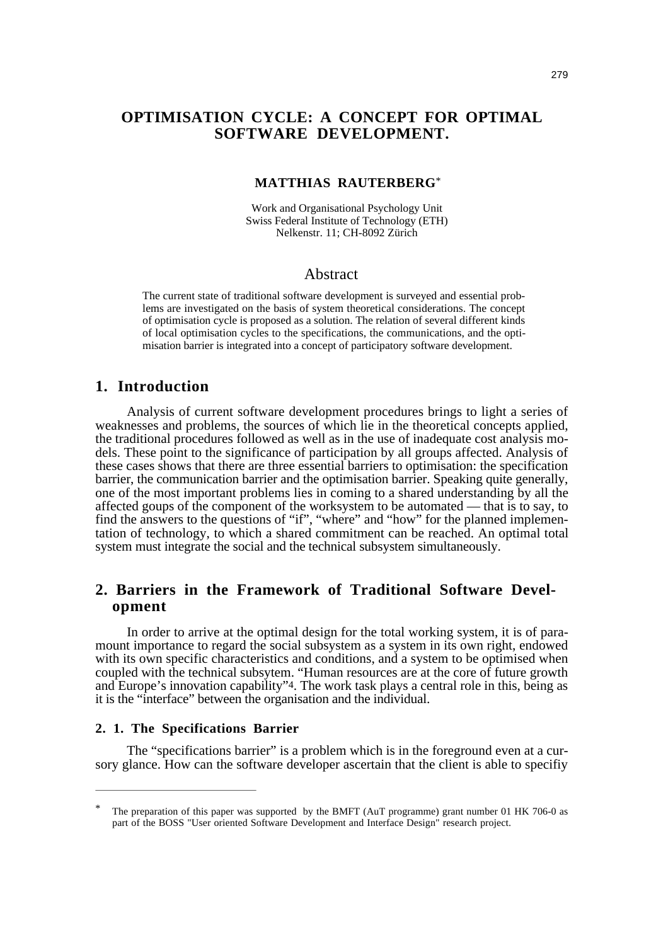# **OPTIMISATION CYCLE: A CONCEPT FOR OPTIMAL SOFTWARE DEVELOPMENT.**

#### **MATTHIAS RAUTERBERG**\*

Work and Organisational Psychology Unit Swiss Federal Institute of Technology (ETH) Nelkenstr. 11; CH-8092 Zürich

#### Abstract

The current state of traditional software development is surveyed and essential problems are investigated on the basis of system theoretical considerations. The concept of optimisation cycle is proposed as a solution. The relation of several different kinds of local optimisation cycles to the specifications, the communications, and the optimisation barrier is integrated into a concept of participatory software development.

# **1. Introduction**

Analysis of current software development procedures brings to light a series of weaknesses and problems, the sources of which lie in the theoretical concepts applied, the traditional procedures followed as well as in the use of inadequate cost analysis models. These point to the significance of participation by all groups affected. Analysis of these cases shows that there are three essential barriers to optimisation: the specification barrier, the communication barrier and the optimisation barrier. Speaking quite generally, one of the most important problems lies in coming to a shared understanding by all the affected goups of the component of the worksystem to be automated — that is to say, to find the answers to the questions of "if", "where" and "how" for the planned implementation of technology, to which a shared commitment can be reached. An optimal total system must integrate the social and the technical subsystem simultaneously.

# **2. Barriers in the Framework of Traditional Software Development**

In order to arrive at the optimal design for the total working system, it is of paramount importance to regard the social subsystem as a system in its own right, endowed with its own specific characteristics and conditions, and a system to be optimised when coupled with the technical subsytem. "Human resources are at the core of future growth and Europe's innovation capability"<sup>4</sup>. The work task plays a central role in this, being as it is the "interface" between the organisation and the individual.

#### **2. 1. The Specifications Barrier**

The "specifications barrier" is a problem which is in the foreground even at a cursory glance. How can the software developer ascertain that the client is able to specifiy

The preparation of this paper was supported by the BMFT (AuT programme) grant number 01 HK 706-0 as part of the BOSS "User oriented Software Development and Interface Design" research project.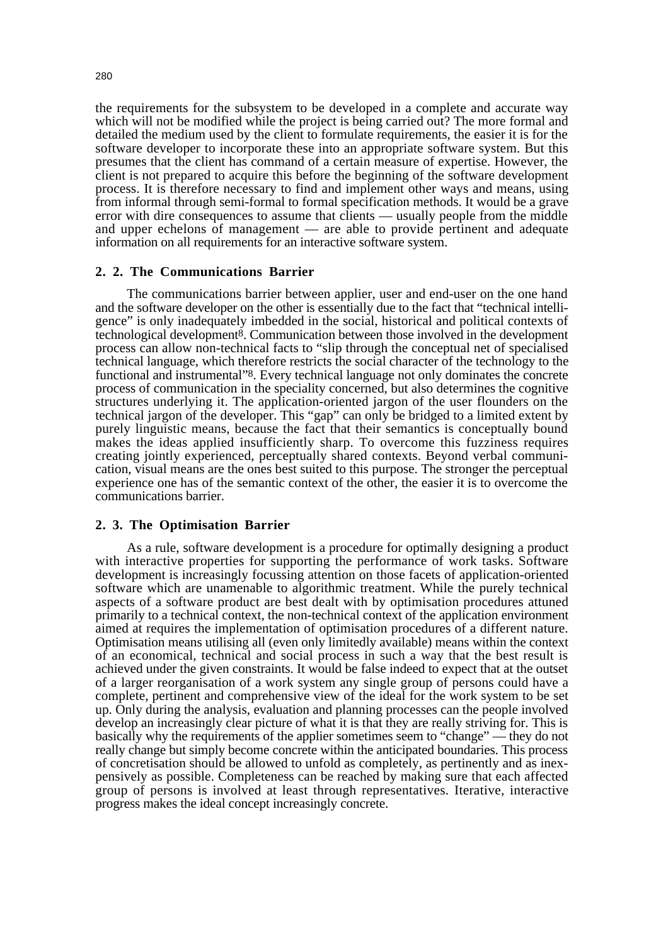the requirements for the subsystem to be developed in a complete and accurate way which will not be modified while the project is being carried out? The more formal and detailed the medium used by the client to formulate requirements, the easier it is for the software developer to incorporate these into an appropriate software system. But this presumes that the client has command of a certain measure of expertise. However, the client is not prepared to acquire this before the beginning of the software development process. It is therefore necessary to find and implement other ways and means, using from informal through semi-formal to formal specification methods. It would be a grave error with dire consequences to assume that clients — usually people from the middle and upper echelons of management — are able to provide pertinent and adequate information on all requirements for an interactive software system.

#### **2. 2. The Communications Barrier**

The communications barrier between applier, user and end-user on the one hand and the software developer on the other is essentially due to the fact that "technical intelligence" is only inadequately imbedded in the social, historical and political contexts of technological development8. Communication between those involved in the development process can allow non-technical facts to "slip through the conceptual net of specialised technical language, which therefore restricts the social character of the technology to the functional and instrumental"8. Every technical language not only dominates the concrete process of communication in the speciality concerned, but also determines the cognitive structures underlying it. The application-oriented jargon of the user flounders on the technical jargon of the developer. This "gap" can only be bridged to a limited extent by purely linguistic means, because the fact that their semantics is conceptually bound makes the ideas applied insufficiently sharp. To overcome this fuzziness requires creating jointly experienced, perceptually shared contexts. Beyond verbal communication, visual means are the ones best suited to this purpose. The stronger the perceptual experience one has of the semantic context of the other, the easier it is to overcome the communications barrier.

#### **2. 3. The Optimisation Barrier**

As a rule, software development is a procedure for optimally designing a product with interactive properties for supporting the performance of work tasks. Software development is increasingly focussing attention on those facets of application-oriented software which are unamenable to algorithmic treatment. While the purely technical aspects of a software product are best dealt with by optimisation procedures attuned primarily to a technical context, the non-technical context of the application environment aimed at requires the implementation of optimisation procedures of a different nature. Optimisation means utilising all (even only limitedly available) means within the context of an economical, technical and social process in such a way that the best result is achieved under the given constraints. It would be false indeed to expect that at the outset of a larger reorganisation of a work system any single group of persons could have a complete, pertinent and comprehensive view of the ideal for the work system to be set up. Only during the analysis, evaluation and planning processes can the people involved develop an increasingly clear picture of what it is that they are really striving for. This is basically why the requirements of the applier sometimes seem to "change" — they do not really change but simply become concrete within the anticipated boundaries. This process of concretisation should be allowed to unfold as completely, as pertinently and as inexpensively as possible. Completeness can be reached by making sure that each affected group of persons is involved at least through representatives. Iterative, interactive progress makes the ideal concept increasingly concrete.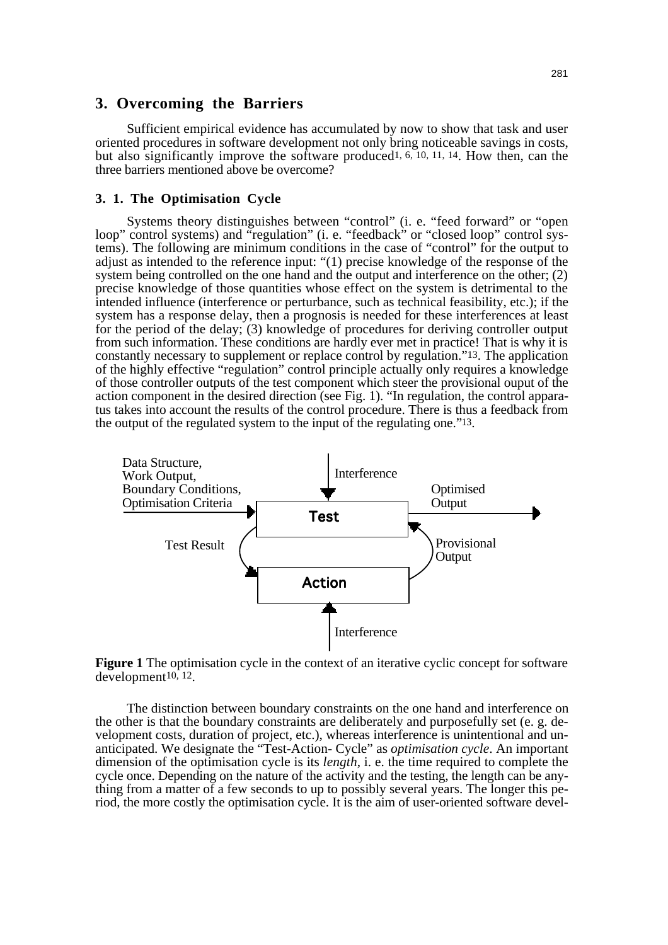# **3. Overcoming the Barriers**

Sufficient empirical evidence has accumulated by now to show that task and user oriented procedures in software development not only bring noticeable savings in costs, but also significantly improve the software produced1, 6, 10, 11, 14. How then, can the three barriers mentioned above be overcome?

#### **3. 1. The Optimisation Cycle**

Systems theory distinguishes between "control" (i. e. "feed forward" or "open loop" control systems) and "regulation" (i. e. "feedback" or "closed loop" control systems). The following are minimum conditions in the case of "control" for the output to adjust as intended to the reference input: "(1) precise knowledge of the response of the system being controlled on the one hand and the output and interference on the other; (2) precise knowledge of those quantities whose effect on the system is detrimental to the intended influence (interference or perturbance, such as technical feasibility, etc.); if the system has a response delay, then a prognosis is needed for these interferences at least for the period of the delay; (3) knowledge of procedures for deriving controller output from such information. These conditions are hardly ever met in practice! That is why it is constantly necessary to supplement or replace control by regulation."13. The application of the highly effective "regulation" control principle actually only requires a knowledge of those controller outputs of the test component which steer the provisional ouput of the action component in the desired direction (see Fig. 1). "In regulation, the control apparatus takes into account the results of the control procedure. There is thus a feedback from the output of the regulated system to the input of the regulating one."13.





The distinction between boundary constraints on the one hand and interference on the other is that the boundary constraints are deliberately and purposefully set (e. g. development costs, duration of project, etc.), whereas interference is unintentional and unanticipated. We designate the "Test-Action- Cycle" as *optimisation cycle*. An important dimension of the optimisation cycle is its *length*, i. e. the time required to complete the cycle once. Depending on the nature of the activity and the testing, the length can be anything from a matter of a few seconds to up to possibly several years. The longer this period, the more costly the optimisation cycle. It is the aim of user-oriented software devel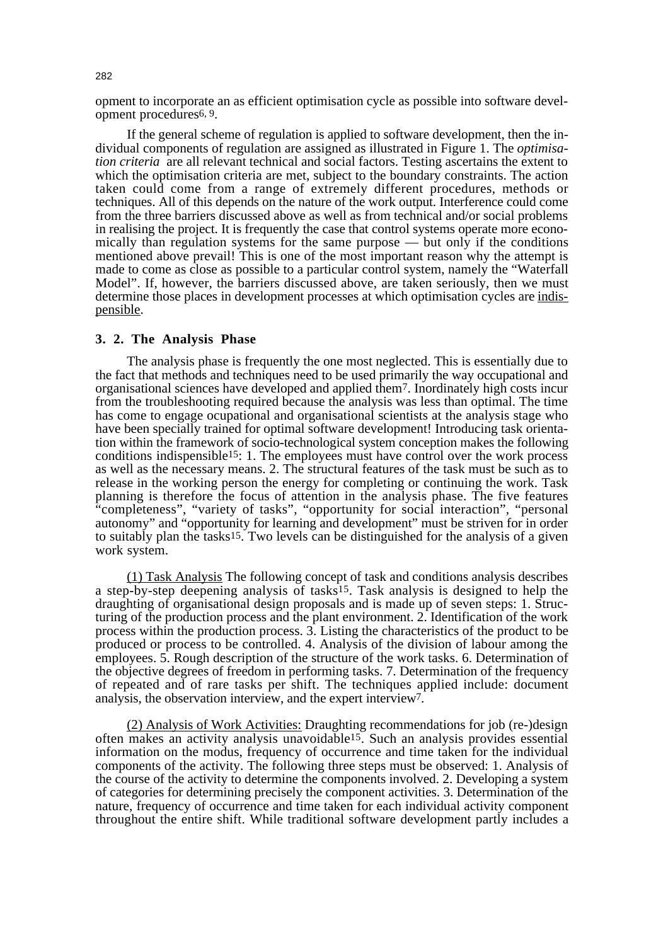opment to incorporate an as efficient optimisation cycle as possible into software development procedures6, 9.

If the general scheme of regulation is applied to software development, then the individual components of regulation are assigned as illustrated in Figure 1. The *optimisation criteria* are all relevant technical and social factors. Testing ascertains the extent to which the optimisation criteria are met, subject to the boundary constraints. The action taken could come from a range of extremely different procedures, methods or techniques. All of this depends on the nature of the work output. Interference could come from the three barriers discussed above as well as from technical and/or social problems in realising the project. It is frequently the case that control systems operate more economically than regulation systems for the same purpose — but only if the conditions mentioned above prevail! This is one of the most important reason why the attempt is made to come as close as possible to a particular control system, namely the "Waterfall Model". If, however, the barriers discussed above, are taken seriously, then we must determine those places in development processes at which optimisation cycles are indispensible.

#### **3. 2. The Analysis Phase**

The analysis phase is frequently the one most neglected. This is essentially due to the fact that methods and techniques need to be used primarily the way occupational and organisational sciences have developed and applied them7. Inordinately high costs incur from the troubleshooting required because the analysis was less than optimal. The time has come to engage ocupational and organisational scientists at the analysis stage who have been specially trained for optimal software development! Introducing task orientation within the framework of socio-technological system conception makes the following conditions indispensible15: 1. The employees must have control over the work process as well as the necessary means. 2. The structural features of the task must be such as to release in the working person the energy for completing or continuing the work. Task planning is therefore the focus of attention in the analysis phase. The five features "completeness", "variety of tasks", "opportunity for social interaction", "personal autonomy" and "opportunity for learning and development" must be striven for in order to suitably plan the tasks15. Two levels can be distinguished for the analysis of a given work system.

(1) Task Analysis The following concept of task and conditions analysis describes a step-by-step deepening analysis of tasks15. Task analysis is designed to help the draughting of organisational design proposals and is made up of seven steps: 1. Structuring of the production process and the plant environment. 2. Identification of the work process within the production process. 3. Listing the characteristics of the product to be produced or process to be controlled. 4. Analysis of the division of labour among the employees. 5. Rough description of the structure of the work tasks. 6. Determination of the objective degrees of freedom in performing tasks. 7. Determination of the frequency of repeated and of rare tasks per shift. The techniques applied include: document analysis, the observation interview, and the expert interview7.

(2) Analysis of Work Activities: Draughting recommendations for job (re-)design often makes an activity analysis unavoidable15. Such an analysis provides essential information on the modus, frequency of occurrence and time taken for the individual components of the activity. The following three steps must be observed: 1. Analysis of the course of the activity to determine the components involved. 2. Developing a system of categories for determining precisely the component activities. 3. Determination of the nature, frequency of occurrence and time taken for each individual activity component throughout the entire shift. While traditional software development partly includes a

282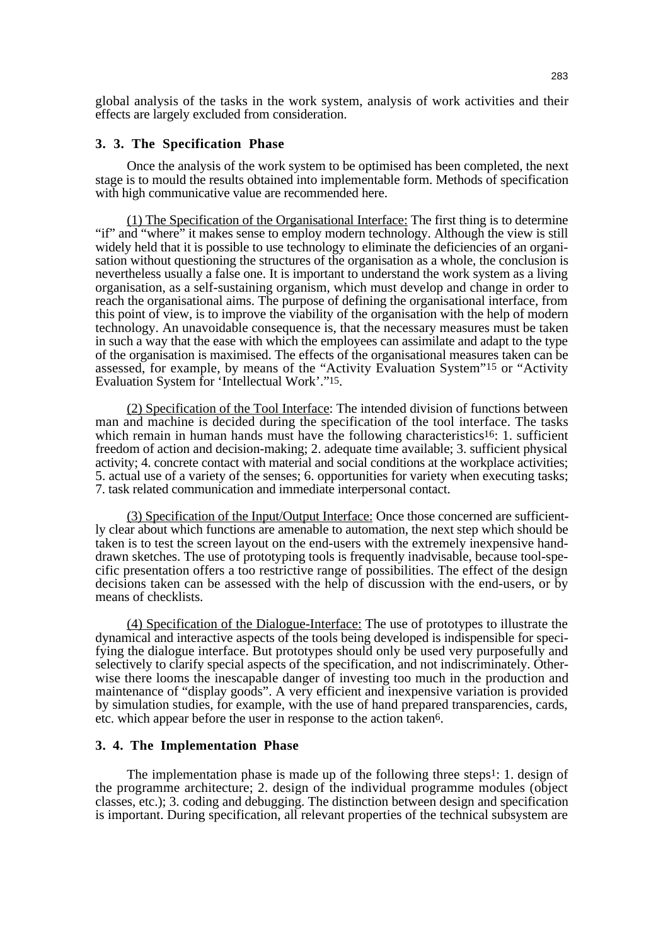global analysis of the tasks in the work system, analysis of work activities and their effects are largely excluded from consideration.

#### **3. 3. The Specification Phase**

Once the analysis of the work system to be optimised has been completed, the next stage is to mould the results obtained into implementable form. Methods of specification with high communicative value are recommended here.

(1) The Specification of the Organisational Interface: The first thing is to determine "if" and "where" it makes sense to employ modern technology. Although the view is still widely held that it is possible to use technology to eliminate the deficiencies of an organisation without questioning the structures of the organisation as a whole, the conclusion is nevertheless usually a false one. It is important to understand the work system as a living organisation, as a self-sustaining organism, which must develop and change in order to reach the organisational aims. The purpose of defining the organisational interface, from this point of view, is to improve the viability of the organisation with the help of modern technology. An unavoidable consequence is, that the necessary measures must be taken in such a way that the ease with which the employees can assimilate and adapt to the type of the organisation is maximised. The effects of the organisational measures taken can be assessed, for example, by means of the "Activity Evaluation System"15 or "Activity Evaluation System for 'Intellectual Work'."15.

(2) Specification of the Tool Interface: The intended division of functions between man and machine is decided during the specification of the tool interface. The tasks which remain in human hands must have the following characteristics<sup>16</sup>: 1. sufficient freedom of action and decision-making; 2. adequate time available; 3. sufficient physical activity; 4. concrete contact with material and social conditions at the workplace activities; 5. actual use of a variety of the senses; 6. opportunities for variety when executing tasks; 7. task related communication and immediate interpersonal contact.

(3) Specification of the Input/Output Interface: Once those concerned are sufficiently clear about which functions are amenable to automation, the next step which should be taken is to test the screen layout on the end-users with the extremely inexpensive handdrawn sketches. The use of prototyping tools is frequently inadvisable, because tool-specific presentation offers a too restrictive range of possibilities. The effect of the design decisions taken can be assessed with the help of discussion with the end-users, or by means of checklists.

(4) Specification of the Dialogue-Interface: The use of prototypes to illustrate the dynamical and interactive aspects of the tools being developed is indispensible for specifying the dialogue interface. But prototypes should only be used very purposefully and selectively to clarify special aspects of the specification, and not indiscriminately. Otherwise there looms the inescapable danger of investing too much in the production and maintenance of "display goods". A very efficient and inexpensive variation is provided by simulation studies, for example, with the use of hand prepared transparencies, cards, etc. which appear before the user in response to the action taken6.

#### **3. 4. The Implementation Phase**

The implementation phase is made up of the following three steps<sup>1</sup>: 1. design of the programme architecture; 2. design of the individual programme modules (object classes, etc.); 3. coding and debugging. The distinction between design and specification is important. During specification, all relevant properties of the technical subsystem are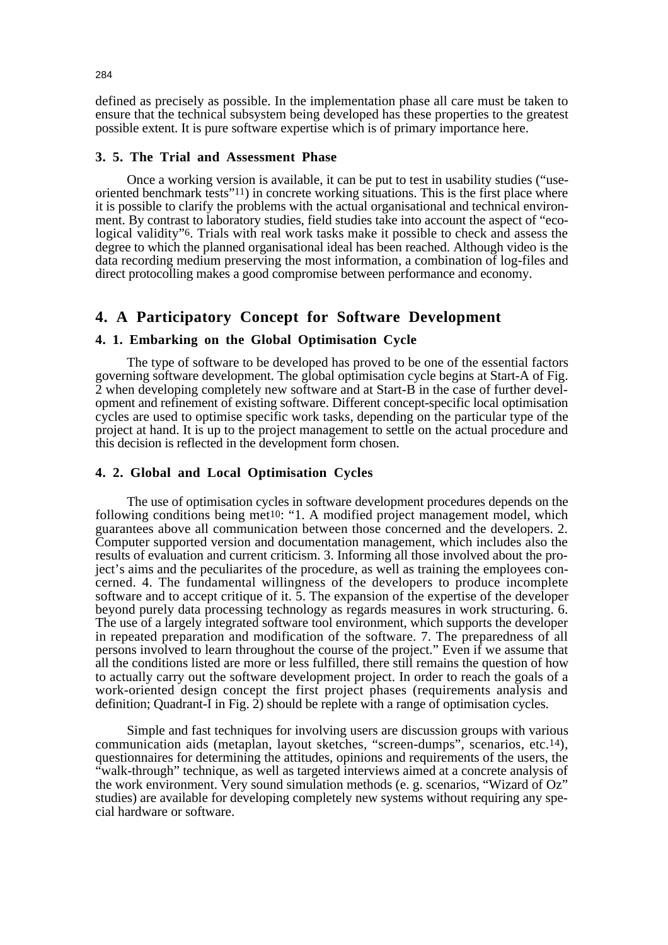defined as precisely as possible. In the implementation phase all care must be taken to ensure that the technical subsystem being developed has these properties to the greatest possible extent. It is pure software expertise which is of primary importance here.

#### **3. 5. The Trial and Assessment Phase**

Once a working version is available, it can be put to test in usability studies ("useoriented benchmark tests"11) in concrete working situations. This is the first place where it is possible to clarify the problems with the actual organisational and technical environment. By contrast to laboratory studies, field studies take into account the aspect of "ecological validity"6. Trials with real work tasks make it possible to check and assess the degree to which the planned organisational ideal has been reached. Although video is the data recording medium preserving the most information, a combination of log-files and direct protocolling makes a good compromise between performance and economy.

# **4. A Participatory Concept for Software Development**

## **4. 1. Embarking on the Global Optimisation Cycle**

The type of software to be developed has proved to be one of the essential factors governing software development. The global optimisation cycle begins at Start-A of Fig. 2 when developing completely new software and at Start-B in the case of further development and refinement of existing software. Different concept-specific local optimisation cycles are used to optimise specific work tasks, depending on the particular type of the project at hand. It is up to the project management to settle on the actual procedure and this decision is reflected in the development form chosen.

## **4. 2. Global and Local Optimisation Cycles**

The use of optimisation cycles in software development procedures depends on the following conditions being met<sup>10</sup>: "1. A modified project management model, which guarantees above all communication between those concerned and the developers. 2. Computer supported version and documentation management, which includes also the results of evaluation and current criticism. 3. Informing all those involved about the project's aims and the peculiarites of the procedure, as well as training the employees concerned. 4. The fundamental willingness of the developers to produce incomplete software and to accept critique of it. 5. The expansion of the expertise of the developer beyond purely data processing technology as regards measures in work structuring. 6. The use of a largely integrated software tool environment, which supports the developer in repeated preparation and modification of the software. 7. The preparedness of all persons involved to learn throughout the course of the project." Even if we assume that all the conditions listed are more or less fulfilled, there still remains the question of how to actually carry out the software development project. In order to reach the goals of a work-oriented design concept the first project phases (requirements analysis and definition; Quadrant-I in Fig. 2) should be replete with a range of optimisation cycles.

Simple and fast techniques for involving users are discussion groups with various communication aids (metaplan, layout sketches, "screen-dumps", scenarios, etc.14), questionnaires for determining the attitudes, opinions and requirements of the users, the "walk-through" technique, as well as targeted interviews aimed at a concrete analysis of the work environment. Very sound simulation methods (e. g. scenarios, "Wizard of Oz" studies) are available for developing completely new systems without requiring any special hardware or software.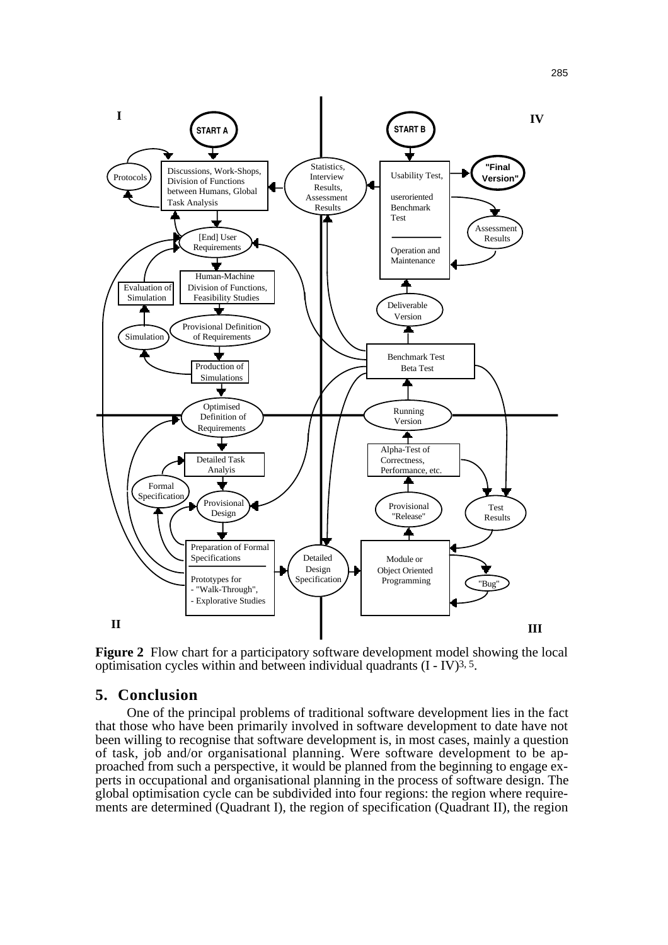

**Figure 2** Flow chart for a participatory software development model showing the local optimisation cycles within and between individual quadrants (I - IV)3, 5.

## **5. Conclusion**

One of the principal problems of traditional software development lies in the fact that those who have been primarily involved in software development to date have not been willing to recognise that software development is, in most cases, mainly a question of task, job and/or organisational planning. Were software development to be approached from such a perspective, it would be planned from the beginning to engage experts in occupational and organisational planning in the process of software design. The global optimisation cycle can be subdivided into four regions: the region where requirements are determined (Quadrant I), the region of specification (Quadrant II), the region

285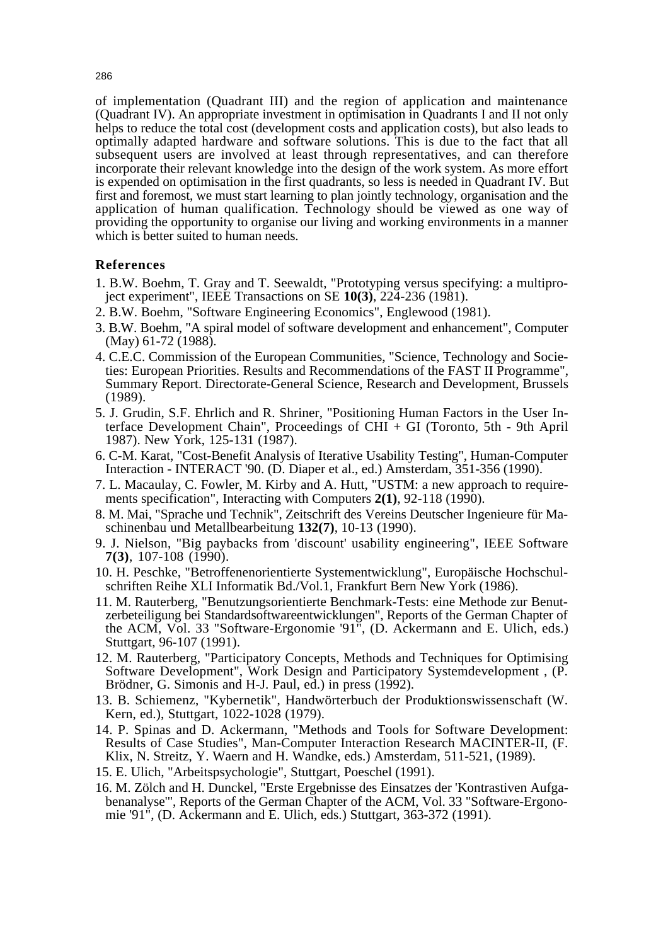of implementation (Quadrant III) and the region of application and maintenance (Quadrant IV). An appropriate investment in optimisation in Quadrants I and II not only helps to reduce the total cost (development costs and application costs), but also leads to optimally adapted hardware and software solutions. This is due to the fact that all subsequent users are involved at least through representatives, and can therefore incorporate their relevant knowledge into the design of the work system. As more effort is expended on optimisation in the first quadrants, so less is needed in Quadrant IV. But first and foremost, we must start learning to plan jointly technology, organisation and the application of human qualification. Technology should be viewed as one way of providing the opportunity to organise our living and working environments in a manner which is better suited to human needs.

# **References**

- 1. B.W. Boehm, T. Gray and T. Seewaldt, "Prototyping versus specifying: a multiproject experiment", IEEE Transactions on SE **10(3)**, 224-236 (1981).
- 2. B.W. Boehm, "Software Engineering Economics", Englewood (1981).
- 3. B.W. Boehm, "A spiral model of software development and enhancement", Computer (May) 61-72 (1988).
- 4. C.E.C. Commission of the European Communities, "Science, Technology and Societies: European Priorities. Results and Recommendations of the FAST II Programme", Summary Report. Directorate-General Science, Research and Development, Brussels (1989).
- 5. J. Grudin, S.F. Ehrlich and R. Shriner, "Positioning Human Factors in the User Interface Development Chain", Proceedings of CHI + GI (Toronto, 5th - 9th April 1987). New York, 125-131 (1987).
- 6. C-M. Karat, "Cost-Benefit Analysis of Iterative Usability Testing", Human-Computer Interaction - INTERACT '90. (D. Diaper et al., ed.) Amsterdam, 351-356 (1990).
- 7. L. Macaulay, C. Fowler, M. Kirby and A. Hutt, "USTM: a new approach to requirements specification", Interacting with Computers **2(1)**, 92-118 (1990).
- 8. M. Mai, "Sprache und Technik", Zeitschrift des Vereins Deutscher Ingenieure für Maschinenbau und Metallbearbeitung **132(7)**, 10-13 (1990).
- 9. J. Nielson, "Big paybacks from 'discount' usability engineering", IEEE Software **7(3)**, 107-108 (1990).
- 10. H. Peschke, "Betroffenenorientierte Systementwicklung", Europäische Hochschulschriften Reihe XLI Informatik Bd./Vol.1, Frankfurt Bern New York (1986).
- 11. M. Rauterberg, "Benutzungsorientierte Benchmark-Tests: eine Methode zur Benutzerbeteiligung bei Standardsoftwareentwicklungen", Reports of the German Chapter of the ACM, Vol. 33 "Software-Ergonomie '91", (D. Ackermann and E. Ulich, eds.) Stuttgart, 96-107 (1991).
- 12. M. Rauterberg, "Participatory Concepts, Methods and Techniques for Optimising Software Development", Work Design and Participatory Systemdevelopment , (P. Brödner, G. Simonis and H-J. Paul, ed.) in press (1992).
- 13. B. Schiemenz, "Kybernetik", Handwörterbuch der Produktionswissenschaft (W. Kern, ed.), Stuttgart, 1022-1028 (1979).
- 14. P. Spinas and D. Ackermann, "Methods and Tools for Software Development: Results of Case Studies", Man-Computer Interaction Research MACINTER-II, (F. Klix, N. Streitz, Y. Waern and H. Wandke, eds.) Amsterdam, 511-521, (1989).
- 15. E. Ulich, "Arbeitspsychologie", Stuttgart, Poeschel (1991).
- 16. M. Zölch and H. Dunckel, "Erste Ergebnisse des Einsatzes der 'Kontrastiven Aufgabenanalyse'", Reports of the German Chapter of the ACM, Vol. 33 "Software-Ergonomie '91", (D. Ackermann and E. Ulich, eds.) Stuttgart, 363-372 (1991).

286